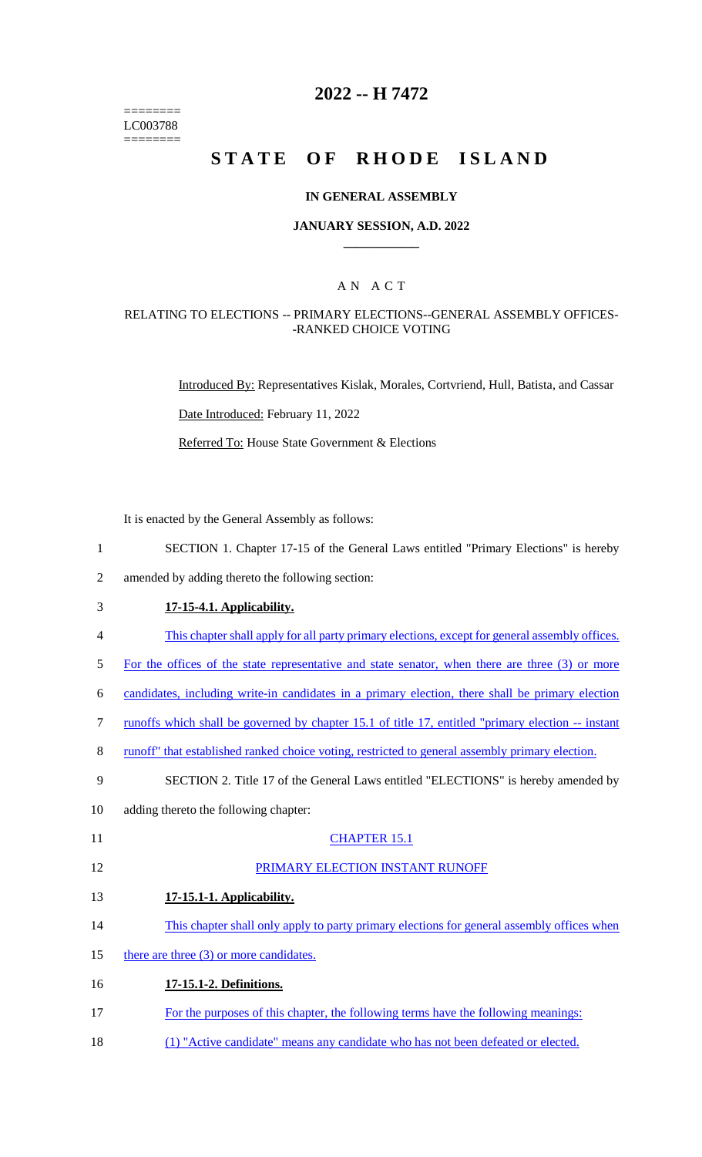======== LC003788 ========

# **2022 -- H 7472**

# **STATE OF RHODE ISLAND**

#### **IN GENERAL ASSEMBLY**

#### **JANUARY SESSION, A.D. 2022 \_\_\_\_\_\_\_\_\_\_\_\_**

## A N A C T

### RELATING TO ELECTIONS -- PRIMARY ELECTIONS--GENERAL ASSEMBLY OFFICES- -RANKED CHOICE VOTING

Introduced By: Representatives Kislak, Morales, Cortvriend, Hull, Batista, and Cassar Date Introduced: February 11, 2022 Referred To: House State Government & Elections

It is enacted by the General Assembly as follows:

- 1 SECTION 1. Chapter 17-15 of the General Laws entitled "Primary Elections" is hereby
- 2 amended by adding thereto the following section:
- 3 **17-15-4.1. Applicability.**

- 4 This chapter shall apply for all party primary elections, except for general assembly offices.
- 5 For the offices of the state representative and state senator, when there are three (3) or more
- 6 candidates, including write-in candidates in a primary election, there shall be primary election
- 7 runoffs which shall be governed by chapter 15.1 of title 17, entitled "primary election -- instant
- 8 runoff" that established ranked choice voting, restricted to general assembly primary election.

#### 9 SECTION 2. Title 17 of the General Laws entitled "ELECTIONS" is hereby amended by

10 adding thereto the following chapter:

### 11 CHAPTER 15.1

#### 12 PRIMARY ELECTION INSTANT RUNOFF

- 13 **17-15.1-1. Applicability.**
- 14 This chapter shall only apply to party primary elections for general assembly offices when
- 15 there are three (3) or more candidates.
- 16 **17-15.1-2. Definitions.**
- 17 For the purposes of this chapter, the following terms have the following meanings:
- 18 (1) "Active candidate" means any candidate who has not been defeated or elected.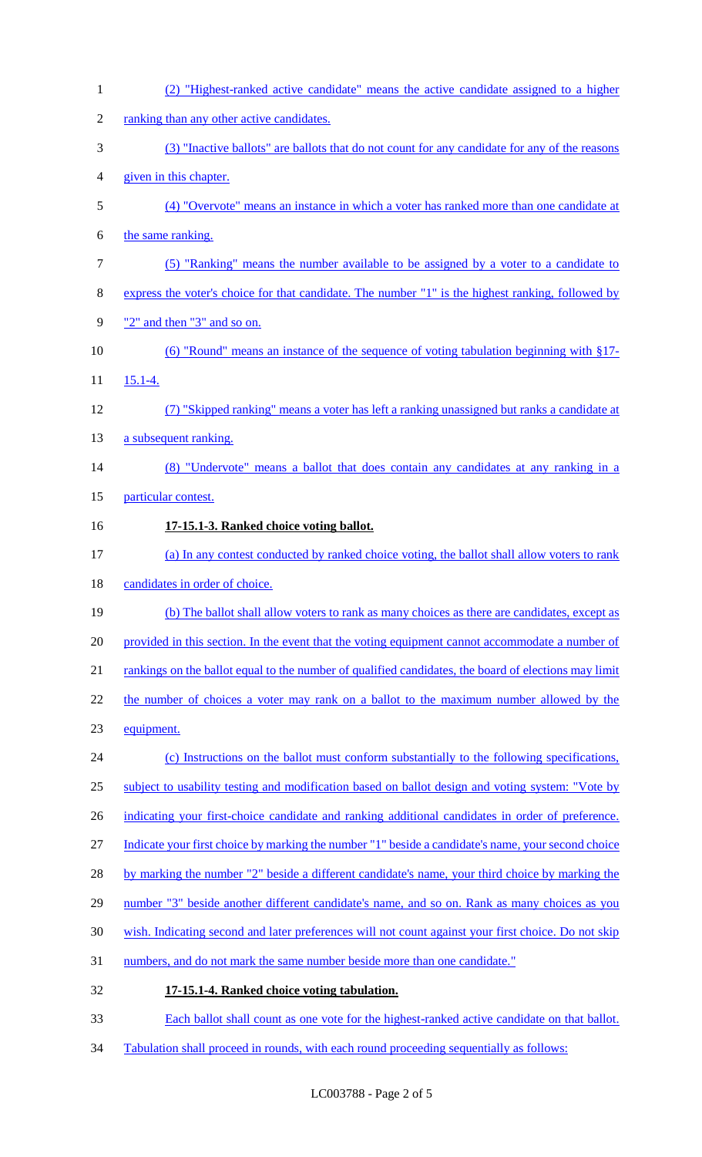| $\mathbf{1}$   | (2) "Highest-ranked active candidate" means the active candidate assigned to a higher                |
|----------------|------------------------------------------------------------------------------------------------------|
| $\overline{2}$ | ranking than any other active candidates.                                                            |
| 3              | (3) "Inactive ballots" are ballots that do not count for any candidate for any of the reasons        |
| 4              | given in this chapter.                                                                               |
| 5              | (4) "Overvote" means an instance in which a voter has ranked more than one candidate at              |
| 6              | the same ranking.                                                                                    |
| 7              | (5) "Ranking" means the number available to be assigned by a voter to a candidate to                 |
| 8              | express the voter's choice for that candidate. The number "1" is the highest ranking, followed by    |
| 9              | "2" and then "3" and so on.                                                                          |
| 10             | (6) "Round" means an instance of the sequence of voting tabulation beginning with §17-               |
| 11             | $15.1 - 4.$                                                                                          |
| 12             | (7) "Skipped ranking" means a voter has left a ranking unassigned but ranks a candidate at           |
| 13             | a subsequent ranking.                                                                                |
| 14             | (8) "Undervote" means a ballot that does contain any candidates at any ranking in a                  |
| 15             | particular contest.                                                                                  |
| 16             | 17-15.1-3. Ranked choice voting ballot.                                                              |
| 17             | (a) In any contest conducted by ranked choice voting, the ballot shall allow voters to rank          |
| 18             | candidates in order of choice.                                                                       |
| 19             | (b) The ballot shall allow voters to rank as many choices as there are candidates, except as         |
| 20             | provided in this section. In the event that the voting equipment cannot accommodate a number of      |
| 21             | rankings on the ballot equal to the number of qualified candidates, the board of elections may limit |
| 22             | the number of choices a voter may rank on a ballot to the maximum number allowed by the              |
| 23             | equipment.                                                                                           |
| 24             | (c) Instructions on the ballot must conform substantially to the following specifications,           |
| 25             | subject to usability testing and modification based on ballot design and voting system: "Vote by     |
| 26             | indicating your first-choice candidate and ranking additional candidates in order of preference.     |
| 27             | Indicate your first choice by marking the number "1" beside a candidate's name, your second choice   |
| 28             | by marking the number "2" beside a different candidate's name, your third choice by marking the      |
| 29             | number "3" beside another different candidate's name, and so on. Rank as many choices as you         |
| 30             | wish. Indicating second and later preferences will not count against your first choice. Do not skip  |
| 31             | numbers, and do not mark the same number beside more than one candidate."                            |
| 32             | 17-15.1-4. Ranked choice voting tabulation.                                                          |
| 33             | Each ballot shall count as one vote for the highest-ranked active candidate on that ballot.          |
|                |                                                                                                      |

Tabulation shall proceed in rounds, with each round proceeding sequentially as follows: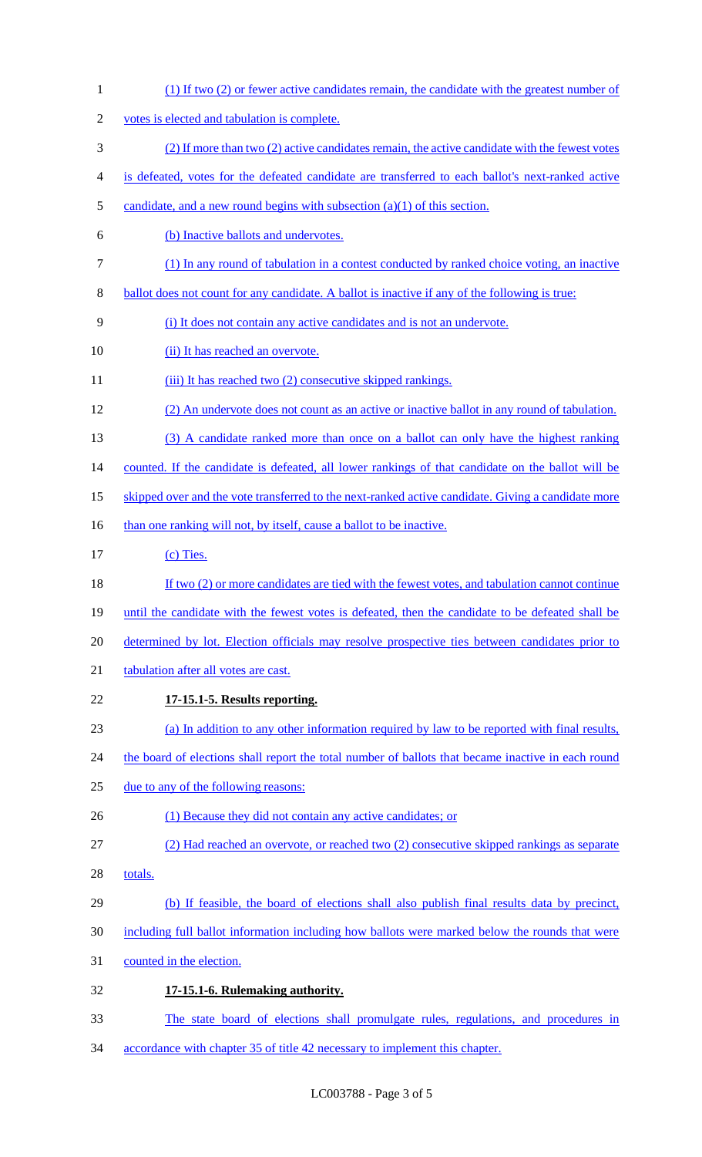(1) If two (2) or fewer active candidates remain, the candidate with the greatest number of votes is elected and tabulation is complete. (2) If more than two (2) active candidates remain, the active candidate with the fewest votes is defeated, votes for the defeated candidate are transferred to each ballot's next-ranked active 5 candidate, and a new round begins with subsection  $(a)(1)$  of this section. (b) Inactive ballots and undervotes. (1) In any round of tabulation in a contest conducted by ranked choice voting, an inactive 8 ballot does not count for any candidate. A ballot is inactive if any of the following is true: (i) It does not contain any active candidates and is not an undervote. 10 (ii) It has reached an overvote. 11 (iii) It has reached two (2) consecutive skipped rankings. (2) An undervote does not count as an active or inactive ballot in any round of tabulation. (3) A candidate ranked more than once on a ballot can only have the highest ranking counted. If the candidate is defeated, all lower rankings of that candidate on the ballot will be 15 skipped over and the vote transferred to the next-ranked active candidate. Giving a candidate more 16 than one ranking will not, by itself, cause a ballot to be inactive. 17 (c) Ties. 18 If two (2) or more candidates are tied with the fewest votes, and tabulation cannot continue 19 until the candidate with the fewest votes is defeated, then the candidate to be defeated shall be determined by lot. Election officials may resolve prospective ties between candidates prior to 21 tabulation after all votes are cast. **17-15.1-5. Results reporting.**  (a) In addition to any other information required by law to be reported with final results, 24 the board of elections shall report the total number of ballots that became inactive in each round due to any of the following reasons: 26 (1) Because they did not contain any active candidates; or (2) Had reached an overvote, or reached two (2) consecutive skipped rankings as separate 28 totals. (b) If feasible, the board of elections shall also publish final results data by precinct, including full ballot information including how ballots were marked below the rounds that were counted in the election. **17-15.1-6. Rulemaking authority.**  The state board of elections shall promulgate rules, regulations, and procedures in accordance with chapter 35 of title 42 necessary to implement this chapter.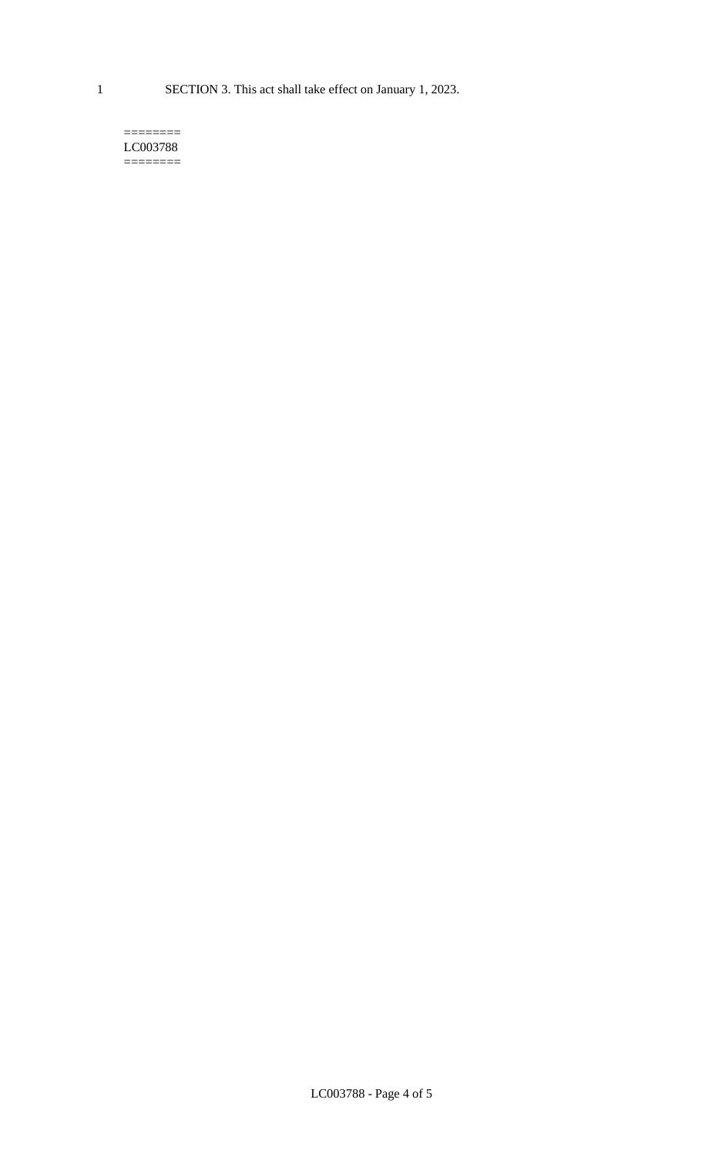1 SECTION 3. This act shall take effect on January 1, 2023.

#### $=$ LC003788 ========

LC003788 - Page 4 of 5